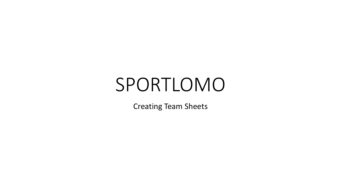# SPORTLOMO

Creating Team Sheets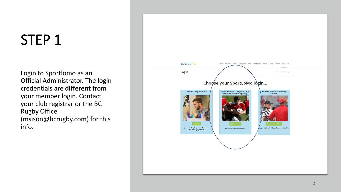Login to Sportlomo as an Official Administrator. The login credentials are **different** from your member login. Contact your club registrar or the BC Rugby Office (msison@bcrugby.com) for this info.

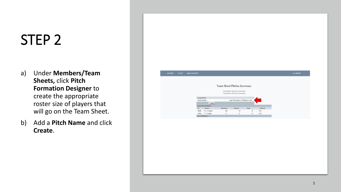- a) Under **Members/Team Sheets,** click **Pitch Formation Designer** to create the appropriate roster size of players that will go on the Team Sheet.
- b) Add a **Pitch Name** and click **Create** .

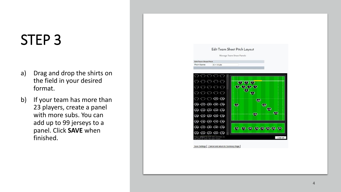- a) Drag and drop the shirts on the field in your desired format.
- b) If your team has more than 23 players, create a panel with more subs. You can add up to 99 jerseys to a panel. Click **SAVE** when finished.

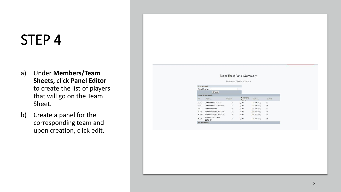- a) Under **Members/Team Sheets,** click **Panel Editor** to create the list of players that will go on the Team Sheet.
- b) Create a panel for the corresponding team and upon creation, click edit.

#### **Team Sheet Panels Summary**

**Teamsheet Sheets Summary** 

| <b>Create Panel</b> |                                    |                |                              |                |                          |
|---------------------|------------------------------------|----------------|------------------------------|----------------|--------------------------|
| Panel Name:         |                                    |                |                              |                |                          |
|                     | Create                             |                |                              |                |                          |
|                     | <b>Team Sheet Panels</b>           |                |                              |                |                          |
| ID                  | Name                               | <b>Players</b> | <b>Print Panel</b><br>Photos | <b>Actions</b> | Visible                  |
| 6669                | Brit Lions Div 1 Men               | $\mathbf 0$    | A®.                          | Edit (In use)  | ÷                        |
| 6582                | Brit Lions Div 1 Women             | 21             | A®.                          | Edit (In use)  | $\overline{\mathcal{L}}$ |
| 7407                | Brit Lions Men                     | 38             | A®.                          | Edit (In use)  | €                        |
| 9029                | Brit Lions Men 2018-19             | 34             | A®.                          | Edit (In use)  | ø                        |
| 10787               | Brit Lions Men 2019-20             | 39             | A®                           | Edit (In use)  | ø                        |
| 10947               | <b>Brit Lions Women</b><br>2019-20 | 31             | 昌田                           | Edit (In use)  | $\overline{\mathcal{L}}$ |
| No. of Panels: 6    |                                    |                |                              |                |                          |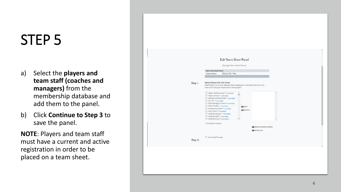- a) Select the **players and team staff (coaches and managers)** from the membership database and add them to the panel.
- b) Click **Continue to Step 3** to save the panel.

**NOTE**: Players and team staff must have a current and active registration in order to be placed on a team sheet.

|         | <b>Edit Team Sheet Panel</b><br>Brit Lions Div 1 Men<br>Panel Name:                                                                                                                                                                                                                                                                                                                    |  |
|---------|----------------------------------------------------------------------------------------------------------------------------------------------------------------------------------------------------------------------------------------------------------------------------------------------------------------------------------------------------------------------------------------|--|
| Step 1: | <b>Select Players for this Panel</b><br>Add Players from your Membership Database to the Panel (etc etc etc)<br>Use Ctrl +F on your keyboard to find players.                                                                                                                                                                                                                          |  |
|         | Adam Bodenschatz * more details<br>Adam Jensen * more details<br>AINSLEY JOHNSTONE * more details<br>Al Chiu * more details<br>Alicia Pelegrin-Tudor * more details<br>Allen Pruden * more details<br>Add »<br>Amteshwar Brar * more details<br>C3 Add All »<br>Amy Grath * more details<br>Andrew Doolan * more details<br>Andrew Gillis * more details<br>Andrew Knox * more details |  |
|         | * Automatic Import<br>Remove Selected Item(s)<br>Remove All                                                                                                                                                                                                                                                                                                                            |  |
| Step 2: | Use Panel Groups                                                                                                                                                                                                                                                                                                                                                                       |  |
|         |                                                                                                                                                                                                                                                                                                                                                                                        |  |
|         |                                                                                                                                                                                                                                                                                                                                                                                        |  |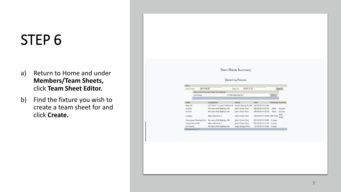- a) Return to Home and under **Members/Team Sheets,** click **Team Sheet Editor.**
- b) Find the fixture you wish to create a team sheet for and click **Create.**

#### **Team Sheets Summary**

#### **Upcoming Fixtures**

| 2019-09-23<br>Date From |  | 2019-10-21<br>Date To                  |                     |                            | Search                      |              |
|-------------------------|--|----------------------------------------|---------------------|----------------------------|-----------------------------|--------------|
|                         |  | Search for Games by Player Information |                     |                            |                             |              |
| Surname:                |  |                                        | or Membership ID:   |                            | Search                      |              |
|                         |  |                                        |                     |                            |                             |              |
| Team                    |  | Competition                            | Venue               | Date                       | <b>Teamsheet Statistics</b> |              |
| Bayside                 |  | U19 Girls 7s Lower Mainland            | South Surrey Ath Pk | 22/09/2019 12:00           |                             |              |
| Scribes                 |  | Womens Fall Mainland B                 | John Oliver Park    | 28/09/2019 09:45           | View                        | Create       |
| United                  |  | Womens Fall Mainland B                 | John Oliver Park    | 28/09/2019 09:45           | View                        | Create       |
| Langley                 |  | Mens Division 2                        | John Oliver Park    | 28/09/2019 14:00 Edit View |                             | Edit<br>View |
| Vancouver Rowing Club   |  | Womens Fall Mainland B                 | John Oliver Park    | 05/10/2019 10:00           | Create                      |              |
| Simon Fraser RC         |  | Mens Division 2                        | John Oliver Park    | 05/10/2019 12:45           | Create                      |              |
|                         |  |                                        | King George Park    | 19/10/2019 10:00           | Create                      |              |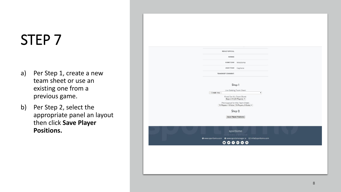- a) Per Step 1, create a new team sheet or use an existing one from a previous game.
- b) Per Step 2, select the appropriate panel an layout then click **Save Player Positions.**

| <b>RESULT OFFICIAL</b>                                                                                                                                                                                                                                 |
|--------------------------------------------------------------------------------------------------------------------------------------------------------------------------------------------------------------------------------------------------------|
| REFEREE                                                                                                                                                                                                                                                |
| HOME TEAM<br>Meraloma                                                                                                                                                                                                                                  |
| AWAY TEAM Capilano                                                                                                                                                                                                                                     |
| <b>TEAMSHEET COMMENT:</b>                                                                                                                                                                                                                              |
| Step 1<br>Use Existing Team Sheet<br>:: Create new ::<br>$\blacktriangledown$<br>Panel for this Team Sheet:<br>Boys U19 (23 Players) v<br>Pitch Layout for this Team Sheet:<br>15 Players + 8 Subs (15 Players, 8 Subs) $\blacktriangledown$<br>Step 2 |
| Save Player Positions                                                                                                                                                                                                                                  |
| sportlomo<br>copyright © 2012 - all rights reserved<br>$\begin{array}{ccc} \circ & \circ & \circ & \circ & \circ \end{array}$                                                                                                                          |
|                                                                                                                                                                                                                                                        |
|                                                                                                                                                                                                                                                        |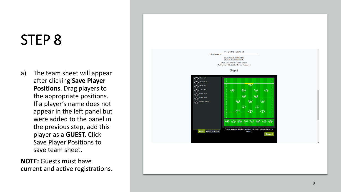a) The team sheet will appear after clicking **Save Player Positions**. Drag players to the appropriate positions. If a player's name does not appear in the left panel but were added to the panel in the previous step, add this player as a **GUEST.** Click Save Player Positions to save team sheet.

**NOTE:** Guests must have current and active registrations.